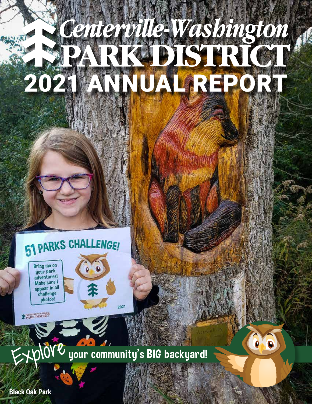# 2021 ANNUAL REPORT

# **PARKS CHALLENGE!**

 $\bullet$ 

Bring me on your park adventures! Make sure I appear in all challenge photos!

**COMPARE DISTRICT** 



 $\bullet$ 

 $202'$ 

**Black Oak Park**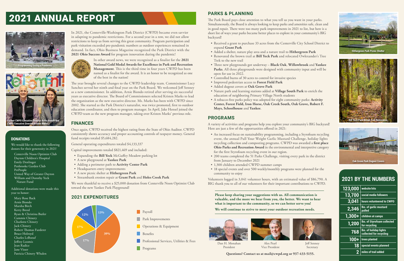In 2021, the Centerville-Washington Park District (CWPD) became even savvier in adapting to pandemic restrictions. For a second year in a row, we did not allow restrictions to keep us from serving this great community. Program participation and park visitation exceeded pre-pandemic numbers as outdoor experiences remained in demand. In fact, Ohio Business Magazine recognized the Park District with the **2021 Ohio Success Award** for program innovation during the pandemic!



In other award news, we were recognized as a finalist for the **2021 National Gold Medal Awards for Excellence in Park and Recreation Management**. This is the third time in four years CWPD has been named as a finalist for the award. It is an honor to be recognized as one of the best in the nation!

The year brought several changes to the CWPD leadership team. Commissioner Lucy Sanchez served her ninth and final year on the Park Board. We welcomed Jeff Senney as a new commissioner. In addition, Arnie Biondo retired after serving six successful years as executive director. The Board of Commissioners selected Kristen Marks to lead the organization as the new executive director. Ms. Marks has been with CWPD since 2002. She started as the Park District's naturalist, was twice promoted, first to outdoor education coordinator, and then to program manager. In April, Jake Hensel joined the CWPD team as the new program manager, taking over Kristen Marks' previous role.

### **FINANCES**

Once again, CWPD received the highest rating from the State of Ohio Auditor. CWPD consistently shows accuracy and proper accounting controls of taxpayer money. General fund receipts totaled \$5,684,282.

General operating expenditures totaled \$4,133,337

Capital improvements totaled \$821,469 and included:

- Expanding the **Bill Yeck** McGuffey Meadow parking lot
- A new playground at **Yankee Park**
- Adding a perimeter path to **Activity Center Park**
- Headquarters entry improvements
- A new picnic shelter at **Hithergreen Park**
- Streambank erosion repair at **Grant Park** and **Holes Creek Park**

We were thankful to receive a \$25,000 donation from Centerville Noon Optimist Club toward the new Yankee Park Playground!

### **2021 EXPENDITURES**

### **DONATIONS**

We would like to thank the following donors for their generosity in 2021!

Centerville Noon Optimist Club Dayton Children's Hospital Emily Denlinger Penbrooke Garden Club PetPeople United Way of Greater Dayton William and Dorothy Yeck Nature Fund

Additional donations were made this year to honor:

Mary Rose Back Arnie Biondo Marsha Birch Kerry Breed Ryan & Christina Butler Cammie Chinery Charlotte Chinery Jack Chinery Robert Thomas Furderer Bruce Holroyd Charles LeBoeuf Jeffrey Loomis Jean Radice Jane Visser Patricia Chinery Whalen



### **PARKS & PLANNING**

The Park Board pays close attention to what you tell us you want in your parks. Simultaneously, the Board is always looking to keep parks and amenities safe, clean and in good repair. There were too many park improvements in 2021 to list, but here is a short list of ways your parks became better places to explore in your community's BIG backyard!

- Received a grant to purchase 33 acres from the Centerville City School District to expand **Grant Park**
- Added a shelter, nature play area and a nature trail to **Hithergreen Park**
- Renovated the brown trail at **Bill Yeck Park** and relocated Owlexander's Tree Trek to the new trail
- Three new playgrounds got underway **Black Oak**, **Willowbrook** and **Yankee Parks**. All three playgrounds were designed with community input and will be open for use in 2022.
- Controlled burns of 30 acres to control for invasive species
- Improved pedestrian access to **Forest Field Park**
- Added dugout covers at **Oak Grove Park**
- Nature path and learning stations added at **Village South Park** to enrich the education of neighboring Primary Village North students
- A tobacco-free parks policy was adopted for eight community parks: **Activity Center, Forest Field, Iron Horse, Oak Creek South, Oak Grove, Robert F. Mays, Schoolhouse** and **Yankee**.

### **PROGRAMS**

A variety of activities and programs help you explore your community's BIG backyard! Here are just a few of the opportunities offered in 2021:

- An increased focus on sustainability programming, including a Styrofoam recycling event, the annual Pull Your Weight Garlic Mustard Challenge, holiday lights recycling collection and composting programs. CWPD was awarded a **first place Ohio Parks and Recreation Award** in the environmental and interpretive category for the first Styrofoam recycling event in our region.
- 200 teams completed the 51 Parks Challenge, visiting every park in the district from January to December 2021
- 1,300 children attended CWPD summer camps
- 18 special events and over 500 weekly/monthly programs were planned for the community to enjoy

Volunteers logged in 3,041 volunteer hours, with an estimated value of \$86,790. A BIG thank you to all of our volunteers for their important contributions to CWPD.

## **2021 BY THE NUMBERS**

| 123,000        | website hits                                        |
|----------------|-----------------------------------------------------|
| 13,700         | social media followers                              |
| 3,041          | hours volunteered to CWPD                           |
| 2,346          | lbs. of garlic mustard<br>pulled                    |
| 1,300+         | children at camps                                   |
| 1,200          | <b>Ibs. of Styrofoam collected</b><br>for recycling |
| 768            | Ibs. of holiday lights<br>collected for recycling   |
| $100+$         | trees planted                                       |
| 18             | special events planned                              |
| $\overline{2}$ | miles of trail added                                |







Dan H. Monahan President

Alex Pearl Vice President

Jeff Senney Secretary

**Please keep sharing your suggestions with us. All communication is valuable, and the more we hear from you, the better. We want to hear what is important to the community, so we can better serve you! We will continue to strive to meet your outdoor recreation needs.**





**Questions? Contact us at mail@cwpd.org or 937-433-5155.**







# 2021 ANNUAL REPORT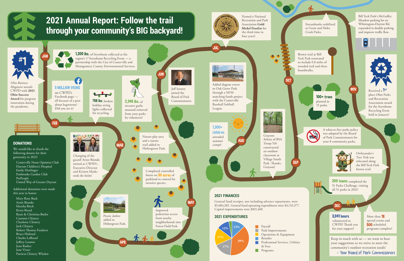More than **18** special events and 500 scheduled programs complete!

Brown trail at Bill Yeck Park renovated to include 0.8 miles of wooded trail and three boardwalks.

Bill Yeck Park's McGuffey Meadow parking lot on Wilmington-Dayton Rd. expanded to double parking and improve traffic flow.





Streambanks stabilized at Grant and Holes Creek Parks.

> Received a <sup>1s</sup> place Ohio Parks and Recreation Association award for the Styrofoam Recycling Event held in January!

200 teams completed the 51 Parks Challenge, visiting all 51 parks in 2021!



NOV

DEC

A tobacco-free parks policy was adopted by the Board of Park Commissioners for your 8 community parks.



100+ trees planted in 15 parks.

> Keep in touch with us — we want to hear your suggestions as we strive to meet the community's outdoor recreation needs!

– Your Board of Park Commissioners

Owlexander's Tree Trek was relocated along the Bill Yeck Park brown trail.



3,041 hours volunteered to CWPD! Thank you for your support!